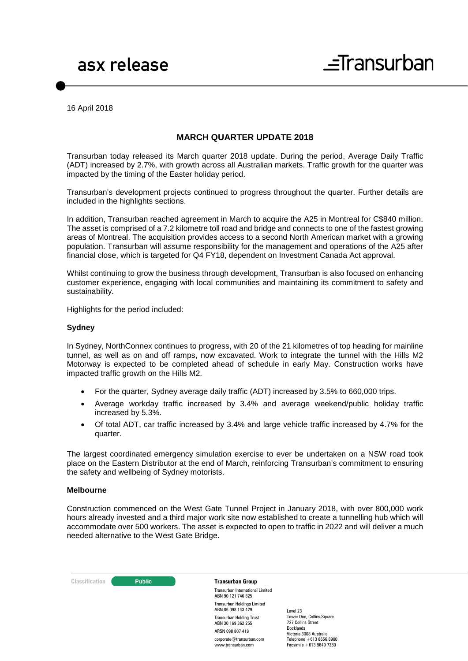16 April 2018

# **MARCH QUARTER UPDATE 2018**

Transurban today released its March quarter 2018 update. During the period, Average Daily Traffic (ADT) increased by 2.7%, with growth across all Australian markets. Traffic growth for the quarter was impacted by the timing of the Easter holiday period.

Transurban's development projects continued to progress throughout the quarter. Further details are included in the highlights sections.

In addition, Transurban reached agreement in March to acquire the A25 in Montreal for C\$840 million. The asset is comprised of a 7.2 kilometre toll road and bridge and connects to one of the fastest growing areas of Montreal. The acquisition provides access to a second North American market with a growing population. Transurban will assume responsibility for the management and operations of the A25 after financial close, which is targeted for Q4 FY18, dependent on Investment Canada Act approval.

Whilst continuing to grow the business through development, Transurban is also focused on enhancing customer experience, engaging with local communities and maintaining its commitment to safety and sustainability.

Highlights for the period included:

#### **Sydney**

In Sydney, NorthConnex continues to progress, with 20 of the 21 kilometres of top heading for mainline tunnel, as well as on and off ramps, now excavated. Work to integrate the tunnel with the Hills M2 Motorway is expected to be completed ahead of schedule in early May. Construction works have impacted traffic growth on the Hills M2.

- For the quarter, Sydney average daily traffic (ADT) increased by 3.5% to 660,000 trips.
- Average workday traffic increased by 3.4% and average weekend/public holiday traffic increased by 5.3%.
- Of total ADT, car traffic increased by 3.4% and large vehicle traffic increased by 4.7% for the quarter.

The largest coordinated emergency simulation exercise to ever be undertaken on a NSW road took place on the Eastern Distributor at the end of March, reinforcing Transurban's commitment to ensuring the safety and wellbeing of Sydney motorists.

### **Melbourne**

Construction commenced on the West Gate Tunnel Project in January 2018, with over 800,000 work hours already invested and a third major work site now established to create a tunnelling hub which will accommodate over 500 workers. The asset is expected to open to traffic in 2022 and will deliver a much needed alternative to the West Gate Bridge.

**Classification C Public Transurban Group** 

Transurban International Limited ABN 90 121 746 825 Transurban Holdings Limited ABN 86 098 143 429 Transurban Holding Trust ABN 30 169 362 255 ARSN 098 807 419 corporate@transurban.com www.transurban.com

Level 23 Tower One, Collins Square 727 Collins Street Docklands Victoria 3008 Australia Telephone +613 8656 8900 Facsimile +613 9649 7380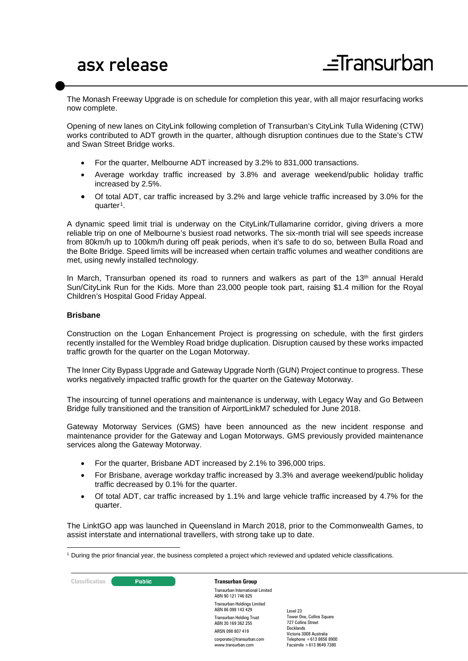The Monash Freeway Upgrade is on schedule for completion this year, with all major resurfacing works now complete.

Opening of new lanes on CityLink following completion of Transurban's CityLink Tulla Widening (CTW) works contributed to ADT growth in the quarter, although disruption continues due to the State's CTW and Swan Street Bridge works.

- For the quarter, Melbourne ADT increased by 3.2% to 831,000 transactions.
- Average workday traffic increased by 3.8% and average weekend/public holiday traffic increased by 2.5%.
- Of total ADT, car traffic increased by 3.2% and large vehicle traffic increased by 3.0% for the quarter<sup>[1](#page-1-0)</sup>.

A dynamic speed limit trial is underway on the CityLink/Tullamarine corridor, giving drivers a more reliable trip on one of Melbourne's busiest road networks. The six-month trial will see speeds increase from 80km/h up to 100km/h during off peak periods, when it's safe to do so, between Bulla Road and the Bolte Bridge. Speed limits will be increased when certain traffic volumes and weather conditions are met, using newly installed technology.

In March, Transurban opened its road to runners and walkers as part of the  $13<sup>th</sup>$  annual Herald Sun/CityLink Run for the Kids. More than 23,000 people took part, raising \$1.4 million for the Royal Children's Hospital Good Friday Appeal.

## **Brisbane**

Construction on the Logan Enhancement Project is progressing on schedule, with the first girders recently installed for the Wembley Road bridge duplication. Disruption caused by these works impacted traffic growth for the quarter on the Logan Motorway.

The Inner City Bypass Upgrade and Gateway Upgrade North (GUN) Project continue to progress. These works negatively impacted traffic growth for the quarter on the Gateway Motorway.

The insourcing of tunnel operations and maintenance is underway, with Legacy Way and Go Between Bridge fully transitioned and the transition of AirportLinkM7 scheduled for June 2018.

Gateway Motorway Services (GMS) have been announced as the new incident response and maintenance provider for the Gateway and Logan Motorways. GMS previously provided maintenance services along the Gateway Motorway.

- For the quarter, Brisbane ADT increased by 2.1% to 396,000 trips.
- For Brisbane, average workday traffic increased by 3.3% and average weekend/public holiday traffic decreased by 0.1% for the quarter.
- Of total ADT, car traffic increased by 1.1% and large vehicle traffic increased by 4.7% for the quarter.

The LinktGO app was launched in Queensland in March 2018, prior to the Commonwealth Games, to assist interstate and international travellers, with strong take up to date.

**Classification C Public Transurban Group** Transurban International Limited ABN 90 121 746 825 Transurban Holdings Limited ABN 86 098 143 429 Transurban Holding Trust ABN 30 169 362 255 ARSN 098 807 419 corporate@transurban.com www.transurban.com Level 23 Docklands

Tower One, Collins Square 727 Collins Street Victoria 3008 Australia Telephone +613 8656 8900 Facsimile +613 9649 7380

<span id="page-1-0"></span><sup>-</sup><sup>1</sup> During the prior financial year, the business completed a project which reviewed and updated vehicle classifications.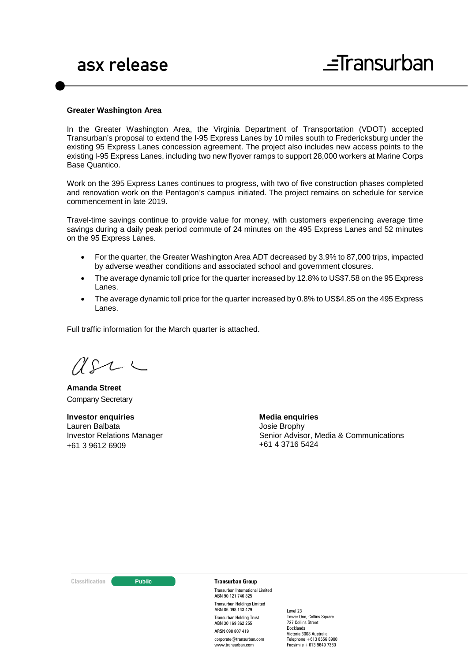#### **Greater Washington Area**

In the Greater Washington Area, the Virginia Department of Transportation (VDOT) accepted Transurban's proposal to extend the I-95 Express Lanes by 10 miles south to Fredericksburg under the existing 95 Express Lanes concession agreement. The project also includes new access points to the existing I-95 Express Lanes, including two new flyover ramps to support 28,000 workers at Marine Corps Base Quantico.

Work on the 395 Express Lanes continues to progress, with two of five construction phases completed and renovation work on the Pentagon's campus initiated. The project remains on schedule for service commencement in late 2019.

Travel-time savings continue to provide value for money, with customers experiencing average time savings during a daily peak period commute of 24 minutes on the 495 Express Lanes and 52 minutes on the 95 Express Lanes.

- For the quarter, the Greater Washington Area ADT decreased by 3.9% to 87,000 trips, impacted by adverse weather conditions and associated school and government closures.
- The average dynamic toll price for the quarter increased by 12.8% to US\$7.58 on the 95 Express Lanes.
- The average dynamic toll price for the quarter increased by 0.8% to US\$4.85 on the 495 Express Lanes.

Full traffic information for the March quarter is attached.

 $U\Omega$  $\sim$ 

**Amanda Street** Company Secretary

**Investor enquiries** Lauren Balbata Investor Relations Manager +61 3 9612 6909

**Media enquiries** Josie Brophy Senior Advisor, Media & Communications +61 4 3716 5424

### **Classification C Transurban Group**

Transurban International Limited ABN 90 121 746 825 Transurban Holdings Limited ABN 86 098 143 429 Transurban Holding Trust ABN 30 169 362 255 ARSN 098 807 419 corporate@transurban.com www.transurban.com

Level 23 Tower One, Collins Square 727 Collins Street Docklands Victoria 3008 Australia  $Telephone +613 8656 8900$ Facsimile +613 9649 7380